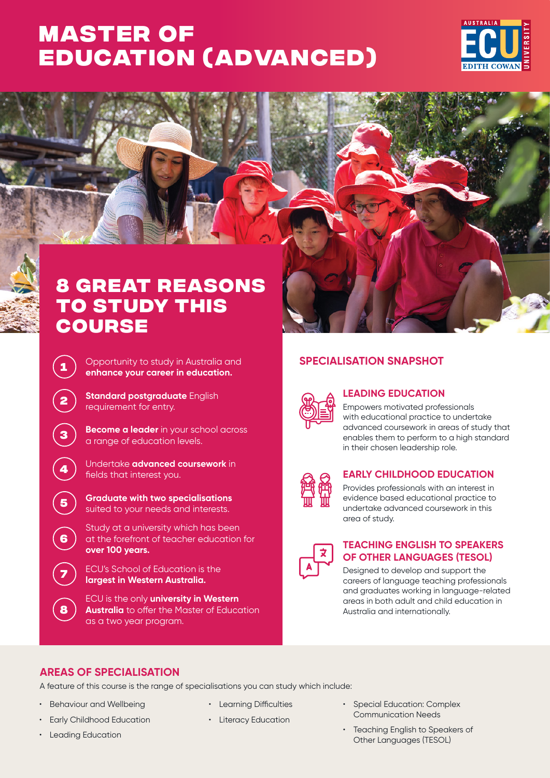# **Master of [Education \(Advanced\)](https://www.ecu.edu.au/degrees/courses/overview?id=J89)**





# **SPECIALISATION SNAPSHOT**



# **LEADING EDUCATION**

Empowers motivated professionals with educational practice to undertake advanced coursework in areas of study that enables them to perform to a high standard in their chosen leadership role.



### **EARLY CHILDHOOD EDUCATION**

Provides professionals with an interest in evidence based educational practice to undertake advanced coursework in this area of study.



## **TEACHING ENGLISH TO SPEAKERS OF OTHER LANGUAGES (TESOL)**

Designed to develop and support the careers of language teaching professionals and graduates working in language-related areas in both adult and child education in Australia and internationally.

- **<sup>1</sup>** Opportunity to study in Australia and **enhance your career in education. <sup>2</sup> Standard postgraduate** English requirement for entry. **<sup>3</sup> Become a leader** in your school across a range of education levels. **<sup>4</sup>** Undertake **advanced coursework** in fields that interest you. **<sup>5</sup> Graduate with two specialisations** 
	- suited to your needs and interests.
	- Study at a university which has been at the forefront of teacher education for **over 100 years.**
	- **<sup>7</sup>** ECU's School of Education is the **largest in Western Australia.**
	- ECU is the only **university in Western Australia** to offer the Master of Education as a two year program.

# **AREAS OF SPECIALISATION**

A feature of this course is the range of specialisations you can study which include:

- Behaviour and Wellbeing
- Early Childhood Education
- Leading Education

**6**

**8**

- Learning Difficulties
- Literacy Education
- Special Education: Complex Communication Needs
- Teaching English to Speakers of Other Languages (TESOL)